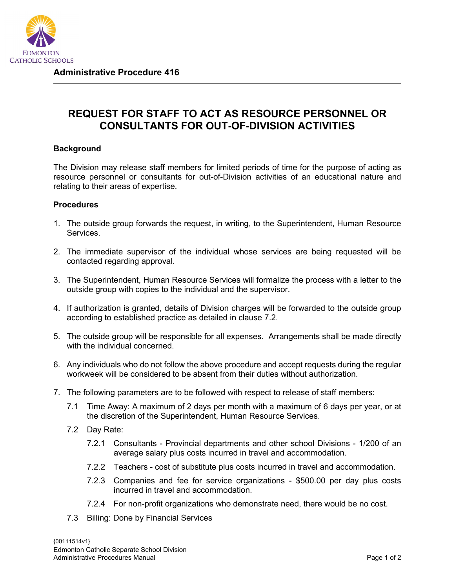

## **REQUEST FOR STAFF TO ACT AS RESOURCE PERSONNEL OR CONSULTANTS FOR OUT-OF-DIVISION ACTIVITIES**

## **Background**

The Division may release staff members for limited periods of time for the purpose of acting as resource personnel or consultants for out-of-Division activities of an educational nature and relating to their areas of expertise.

## **Procedures**

- 1. The outside group forwards the request, in writing, to the Superintendent, Human Resource Services.
- 2. The immediate supervisor of the individual whose services are being requested will be contacted regarding approval.
- 3. The Superintendent, Human Resource Services will formalize the process with a letter to the outside group with copies to the individual and the supervisor.
- 4. If authorization is granted, details of Division charges will be forwarded to the outside group according to established practice as detailed in clause 7.2.
- 5. The outside group will be responsible for all expenses. Arrangements shall be made directly with the individual concerned
- 6. Any individuals who do not follow the above procedure and accept requests during the regular workweek will be considered to be absent from their duties without authorization.
- 7. The following parameters are to be followed with respect to release of staff members:
	- 7.1 Time Away: A maximum of 2 days per month with a maximum of 6 days per year, or at the discretion of the Superintendent, Human Resource Services.
	- 7.2 Day Rate:
		- 7.2.1 Consultants Provincial departments and other school Divisions 1/200 of an average salary plus costs incurred in travel and accommodation.
		- 7.2.2 Teachers cost of substitute plus costs incurred in travel and accommodation.
		- 7.2.3 Companies and fee for service organizations \$500.00 per day plus costs incurred in travel and accommodation.
		- 7.2.4 For non-profit organizations who demonstrate need, there would be no cost.
	- 7.3 Billing: Done by Financial Services